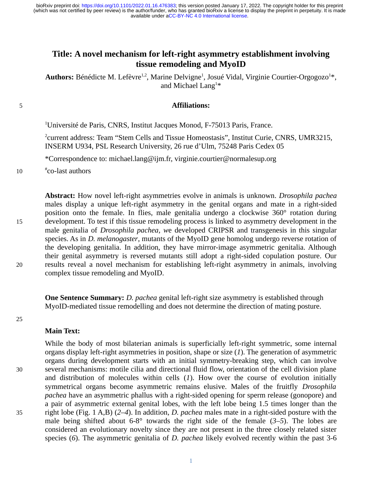# **Title: A novel mechanism for left-right asymmetry establishment involving tissue remodeling and MyoID**

Authors: Bénédicte M. Lefèvre<sup>1,2</sup>, Marine Delvigne<sup>1</sup>, Josué Vidal, Virginie Courtier-Orgogozo<sup>1</sup>\*, and Michael  $\rm{Lang^{1*}}$ 

### **Affiliations:**

<sup>1</sup>Université de Paris, CNRS, Institut Jacques Monod, F-75013 Paris, France.

2 current address: Team "Stem Cells and Tissue Homeostasis", Institut Curie, CNRS, UMR3215, INSERM U934, PSL Research University, 26 rue d'Ulm, 75248 Paris Cedex 05

\*Correspondence to: michael.lang@ijm.fr, virginie.courtier@normalesup.org

# co-last authors 10

> **Abstract:** How novel left-right asymmetries evolve in animals is unknown. *Drosophila pachea* males display a unique left-right asymmetry in the genital organs and mate in a right-sided position onto the female. In flies, male genitalia undergo a clockwise 360° rotation during development. To test if this tissue remodeling process is linked to asymmetry development in the male genitalia of *Drosophila pachea, w*e developed CRIPSR and transgenesis in this singular species. As in *D. melanogaster*, mutants of the MyoID gene homolog undergo reverse rotation of the developing genitalia. In addition, they have mirror-image asymmetric genitalia. Although their genital asymmetry is reversed mutants still adopt a right-sided copulation posture. Our results reveal a novel mechanism for establishing left-right asymmetry in animals, involving complex tissue remodeling and MyoID.

**One Sentence Summary:** *D. pachea* genital left-right size asymmetry is established through MyoID-mediated tissue remodelling and does not determine the direction of mating posture.

#### **Main Text:**

While the body of most bilaterian animals is superficially left-right symmetric, some internal organs display left-right asymmetries in position, shape or size (*1*). The generation of asymmetric organs during development starts with an initial symmetry-breaking step, which can involve several mechanisms: motile cilia and directional fluid flow, orientation of the cell division plane and distribution of molecules within cells (*1*). How over the course of evolution initially symmetrical organs become asymmetric remains elusive. Males of the fruitfly *Drosophila pachea* have an asymmetric phallus with a right-sided opening for sperm release (gonopore) and a pair of asymmetric external genital lobes, with the left lobe being 1.5 times longer than the right lobe (Fig. 1 A,B) (*2*–*4*). In addition, *D. pachea* males mate in a right-sided posture with the male being shifted about 6-8° towards the right side of the female (*3*–*5*). The lobes are considered an evolutionary novelty since they are not present in the three closely related sister species (*6*). The asymmetric genitalia of *D. pachea* likely evolved recently within the past 3-6

15

20

5

35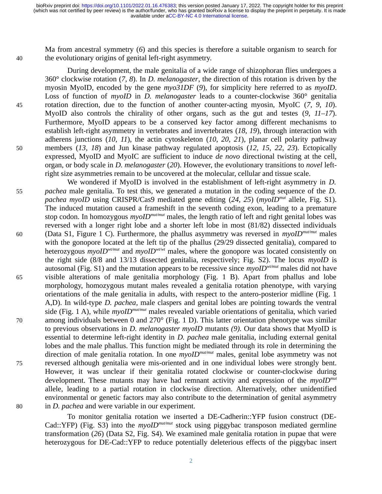available under [aCC-BY-NC 4.0 International license.](http://creativecommons.org/licenses/by-nc/4.0/) (which was not certified by peer review) is the author/funder, who has granted bioRxiv a license to display the preprint in perpetuity. It is made bioRxiv preprint doi: [https://doi.org/10.1101/2022.01.16.476383;](https://doi.org/10.1101/2022.01.16.476383) this version posted January 17, 2022. The copyright holder for this preprint

Ma from ancestral symmetry (*6*) and this species is therefore a suitable organism to search for the evolutionary origins of genital left-right asymmetry.

40

45

50

During development, the male genitalia of a wide range of shizophoran flies undergoes a 360° clockwise rotation (*7*, *8*). In *D. melanogaster*, the direction of this rotation is driven by the myosin MyoID, encoded by the gene *myo31DF* (*9*), for simplicity here referred to as *myoID*. Loss of function of *myoID* in *D. melanogaster* leads to a counter-clockwise 360° genitalia rotation direction, due to the function of another counter-acting myosin, MyoIC (*7*, *9*, *10*). MyoID also controls the chirality of other organs, such as the gut and testes (*9*, *11*–*17*). Furthermore, MyoID appears to be a conserved key factor among different mechanisms to establish left-right asymmetry in vertebrates and invertebrates (*18*, *19*), through interaction with adherens junctions (*10*, *11*), the actin cytoskeleton (*10*, *20*, *21*), planar cell polarity pathway members (*13*, *18*) and Jun kinase pathway regulated apoptosis (*12*, *15*, *22*, *23*). Ectopically expressed, MyoID and MyoIC are sufficient to induce *de novo* directional twisting at the cell, organ, or body scale in *D. melanogaster* (*20*). However, the evolutionary transitions to *novel* leftright size asymmetries remain to be uncovered at the molecular, cellular and tissue scale.

We wondered if MyoID is involved in the establishment of left-right asymmetry in *D. pachea* male genitalia. To test this, we generated a mutation in the coding sequence of the *D. pachea myoID* using CRISPR/Cas9 mediated gene editing (*24*, *25*) (*myoIDmut* allele, Fig. S1). The induced mutation caused a frameshift in the seventh coding exon, leading to a premature stop codon. In homozygous *myoIDmut/mut* males, the length ratio of left and right genital lobes was reversed with a longer right lobe and a shorter left lobe in most (81/82) dissected individuals (Data S1, Figure 1 C). Furthermore, the phallus asymmetry was reversed in *myoIDmut/mut* males with the gonopore located at the left tip of the phallus (29/29 dissected genitalia), compared to heterozygous *myoIDwt/mut* and *myoIDwt/wt* males, where the gonopore was located consistently on the right side (8/8 and 13/13 dissected genitalia, respectively; Fig. S2). The locus *myoID* is autosomal (Fig. S1) and the mutation appears to be recessive since *myoIDwt/mut* males did not have visible alterations of male genitalia morphology (Fig. 1 B). Apart from phallus and lobe morphology, homozygous mutant males revealed a genitalia rotation phenotype, with varying orientations of the male genitalia in adults, with respect to the antero-posterior midline (Fig. 1 A,D). In wild-type *D. pachea*, male claspers and genital lobes are pointing towards the ventral side (Fig. 1 A), while *myoIDmut/mut* males revealed variable orientations of genitalia, which varied among individuals between 0 and 270° (Fig. 1 D). This latter orientation phenotype was similar to previous observations in *D. melanogaster myoID* mutants *(9).* Our data shows that MyoID is essential to determine left-right identity in *D. pachea* male genitalia, including external genital lobes and the male phallus. This function might be mediated through its role in determining the direction of male genitalia rotation. In one *myoIDmut/mut* males, genital lobe asymmetry was not reversed although genitalia were mis-oriented and in one individual lobes were strongly bent. However, it was unclear if their genitalia rotated clockwise or counter-clockwise during development. These mutants may have had remnant activity and expression of the *myoIDmut* allele, leading to a partial rotation in clockwise direction. Alternatively, other unidentified environmental or genetic factors may also contribute to the determination of genital asymmetry in *D. pachea* and were variable in our experiment. 55 60 65 70 75 80

To monitor genitalia rotation we inserted a DE-Cadherin::YFP fusion construct (DE-Cad::YFP) (Fig. S3) into the *myoIDmut/mut* stock using piggybac transposon mediated germline transformation (*26*) (Data S2, Fig. S4). We examined male genitalia rotation in pupae that were heterozygous for DE-Cad::YFP to reduce potentially deleterious effects of the piggybac insert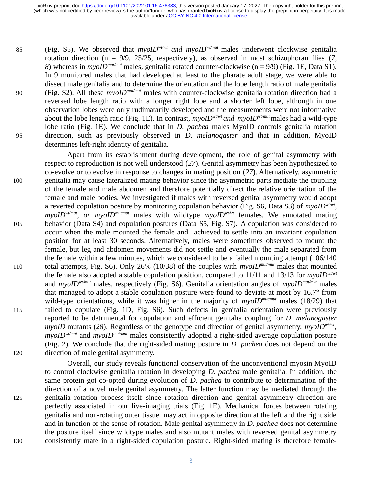available under [aCC-BY-NC 4.0 International license.](http://creativecommons.org/licenses/by-nc/4.0/) (which was not certified by peer review) is the author/funder, who has granted bioRxiv a license to display the preprint in perpetuity. It is made bioRxiv preprint doi: [https://doi.org/10.1101/2022.01.16.476383;](https://doi.org/10.1101/2022.01.16.476383) this version posted January 17, 2022. The copyright holder for this preprint

- (Fig. S5). We observed that *myoIDwt/wt and myoIDwt/mut* males underwent clockwise genitalia rotation direction (n = 9/9, 25/25, respectively), as observed in most schizophoran flies (*7*, *8*) whereas in *myoIDmut/mut* males, genitalia rotated counter-clockwise (n = 9/9) (Fig. 1E, Data S1). In 9 monitored males that had developed at least to the pharate adult stage, we were able to dissect male genitalia and to determine the orientation and the lobe length ratio of male genitalia (Fig. S2). All these *myoIDmut/mut* males with counter-clockwise genitalia rotation direction had a reversed lobe length ratio with a longer right lobe and a shorter left lobe, although in one observation lobes were only rudimatarily developed and the measurements were not informative about the lobe length ratio (Fig. 1E). In contrast, *myoIDwt/wt and myoIDwt/mut* males had a wild-type lobe ratio (Fig. 1E). We conclude that in *D. pachea* males MyoID controls genitalia rotation direction, such as previously observed in *D. melanogaster* and that in addition, MyoID determines left-right identity of genitalia. 85 90 95
- Apart from its establishment during development, the role of genital asymmetry with respect to reproduction is not well understood (*27*). Genital asymmetry has been hypothesized to co-evolve or to evolve in response to changes in mating position (*27*). Alternatively, asymmetric genitalia may cause lateralized mating behavior since the asymmetric parts mediate the coupling of the female and male abdomen and therefore potentially direct the relative orientation of the female and male bodies. We investigated if males with reversed genital asymmetry would adopt a reverted copulation posture by monitoring copulation behavior (Fig. S6, Data S3) of *myoIDwt/wt* , *myoIDwt/mut, or myoIDmut/mut* males with wildtype *myoIDwt/wt* females. We annotated mating behavior (Data S4) and copulation postures (Data S5, Fig. S7). A copulation was considered to occur when the male mounted the female and achieved to settle into an invariant copulation position for at least 30 seconds. Alternatively, males were sometimes observed to mount the female, but leg and abdomen movements did not settle and eventually the male separated from the female within a few minutes, which we considered to be a failed mounting attempt (106/140 total attempts, Fig. S6). Only 26% (10/38) of the couples with *myoIDmut/mut* males that mounted the female also adopted a stable copulation position, compared to 11/11 and 13/13 for *myoIDwt/wt* and *myoIDwt/mut* males, respectively (Fig. S6). Genitalia orientation angles of *myoIDmut/mut* males that managed to adopt a stable copulation posture were found to deviate at most by 16.7° from wild-type orientations, while it was higher in the majority of *myoIDmut/mut* males (18/29) that failed to copulate (Fig. 1D, Fig. S6). Such defects in genitalia orientation were previously reported to be detrimental for copulation and efficient genitalia coupling for *D. melanogaster myoID* mutants (*28*). Regardless of the genotype and direction of genital asymmetry, *myoIDwt/wt , myoID<sup>wt/mut</sup>* and *myoID<sup>mut/mut*</sup> males consistently adopted a right-sided average copulation posture (Fig. 2). We conclude that the right-sided mating posture in *D. pachea* does not depend on the direction of male genital asymmetry. 100 105 110 115 120

Overall, our study reveals functional conservation of the unconventional myosin MyoID to control clockwise genitalia rotation in developing *D. pachea* male genitalia. In addition, the same protein got co-opted during evolution of *D. pachea* to contribute to determination of the direction of a novel male genital asymmetry. The latter function may be mediated through the genitalia rotation process itself since rotation direction and genital asymmetry direction are perfectly associated in our live-imaging trials (Fig. 1E). Mechanical forces between rotating genitalia and non-rotating outer tissue may act in opposite direction at the left and the right side and in function of the sense of rotation. Male genital asymmetry in *D. pachea* does not determine the posture itself since wildtype males and also mutant males with reversed genital asymmetry consistently mate in a right-sided copulation posture. Right-sided mating is therefore female-

130

125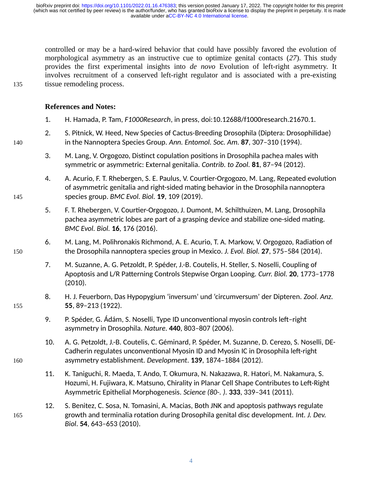controlled or may be a hard-wired behavior that could have possibly favored the evolution of morphological asymmetry as an instructive cue to optimize genital contacts (*27*). This study provides the first experimental insights into *de novo* Evolution of left-right asymmetry. It involves recruitment of a conserved left-right regulator and is associated with a pre-existing tissue remodeling process.

### **References and Notes:**

- 1. H. Hamada, P. Tam, *F1000Research*, in press, doi:10.12688/f1000research.21670.1.
- 2. S. Pitnick, W. Heed, New Species of Cactus-Breeding Drosophila (Diptera: Drosophilidae) in the Nannoptera Species Group. *Ann. Entomol. Soc. Am.* **87**, 307–310 (1994).
- 3. M. Lang, V. Orgogozo, Distinct copulation positions in Drosophila pachea males with symmetric or asymmetric: External genitalia. *Contrib. to Zool.* **81**, 87–94 (2012).
- 4. A. Acurio, F. T. Rhebergen, S. E. Paulus, V. Courtier-Orgogozo, M. Lang, Repeated evolution of asymmetric genitalia and right-sided mating behavior in the Drosophila nannoptera species group. *BMC Evol. Biol.* **19**, 109 (2019).
- 5. F. T. Rhebergen, V. Courtier-Orgogozo, J. Dumont, M. Schilthuizen, M. Lang, Drosophila pachea asymmetric lobes are part of a grasping device and stabilize one-sided mating. *BMC Evol. Biol.* **16**, 176 (2016).
- 6. M. Lang, M. Polihronakis Richmond, A. E. Acurio, T. A. Markow, V. Orgogozo, Radiation of the Drosophila nannoptera species group in Mexico. *J. Evol. Biol.* **27**, 575–584 (2014).
- 7. M. Suzanne, A. G. Petzoldt, P. Spéder, J.-B. Coutelis, H. Steller, S. Noselli, Coupling of Apoptosis and L/R Patterning Controls Stepwise Organ Looping. *Curr. Biol.* **20**, 1773–1778 (2010).
- 8. H. J. Feuerborn, Das Hypopygium 'inversum' und 'circumversum' der Dipteren. *Zool. Anz.* **55**, 89–213 (1922).
- 9. P. Spéder, G. Ádám, S. Noselli, Type ID unconventional myosin controls left–right asymmetry in Drosophila. *Nature*. **440**, 803–807 (2006).
- 10. A. G. Petzoldt, J.-B. Coutelis, C. Géminard, P. Spéder, M. Suzanne, D. Cerezo, S. Noselli, DE-Cadherin regulates unconventional Myosin ID and Myosin IC in Drosophila left-right asymmetry establishment. *Development*. **139**, 1874–1884 (2012).
- 11. K. Taniguchi, R. Maeda, T. Ando, T. Okumura, N. Nakazawa, R. Hatori, M. Nakamura, S. Hozumi, H. Fujiwara, K. Matsuno, Chirality in Planar Cell Shape Contributes to Left-Right Asymmetric Epithelial Morphogenesis. *Science (80-. ).* **333**, 339–341 (2011).
- 12. S. Benitez, C. Sosa, N. Tomasini, A. Macias, Both JNK and apoptosis pathways regulate growth and terminalia rotation during Drosophila genital disc development. *Int. J. Dev. Biol*. **54**, 643–653 (2010).

140

135

145

150

155

165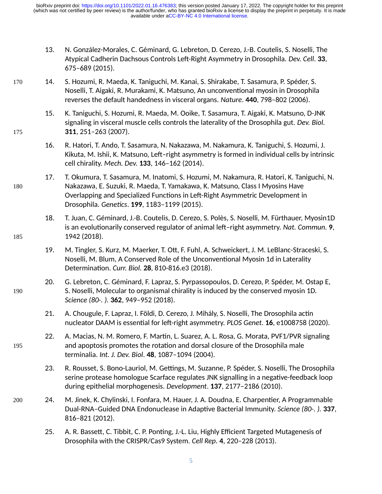- 13. N. González-Morales, C. Géminard, G. Lebreton, D. Cerezo, J.-B. Coutelis, S. Noselli, The Atypical Cadherin Dachsous Controls Left-Right Asymmetry in Drosophila. *Dev. Cell*. **33**, 675–689 (2015).
- 14. S. Hozumi, R. Maeda, K. Taniguchi, M. Kanai, S. Shirakabe, T. Sasamura, P. Spéder, S. Noselli, T. Aigaki, R. Murakami, K. Matsuno, An unconventional myosin in Drosophila reverses the default handedness in visceral organs. *Nature*. **440**, 798–802 (2006). 170
	- 15. K. Taniguchi, S. Hozumi, R. Maeda, M. Ooike, T. Sasamura, T. Aigaki, K. Matsuno, D-JNK signaling in visceral muscle cells controls the laterality of the Drosophila gut. *Dev. Biol.* **311**, 251–263 (2007).
	- 16. R. Hatori, T. Ando, T. Sasamura, N. Nakazawa, M. Nakamura, K. Taniguchi, S. Hozumi, J. Kikuta, M. Ishii, K. Matsuno, Left–right asymmetry is formed in individual cells by intrinsic cell chirality. *Mech. Dev.* **133**, 146–162 (2014).
	- 17. T. Okumura, T. Sasamura, M. Inatomi, S. Hozumi, M. Nakamura, R. Hatori, K. Taniguchi, N. Nakazawa, E. Suzuki, R. Maeda, T. Yamakawa, K. Matsuno, Class I Myosins Have Overlapping and Specialized Functions in Left-Right Asymmetric Development in Drosophila. *Genetics*. **199**, 1183–1199 (2015).
		- 18. T. Juan, C. Géminard, J.-B. Coutelis, D. Cerezo, S. Polès, S. Noselli, M. Fürthauer, Myosin1D is an evolutionarily conserved regulator of animal left–right asymmetry. *Nat. Commun.* **9**, 1942 (2018).
		- 19. M. Tingler, S. Kurz, M. Maerker, T. Ott, F. Fuhl, A. Schweickert, J. M. LeBlanc-Straceski, S. Noselli, M. Blum, A Conserved Role of the Unconventional Myosin 1d in Laterality Determination. *Curr. Biol.* **28**, 810-816.e3 (2018).
		- 20. G. Lebreton, C. Géminard, F. Lapraz, S. Pyrpassopoulos, D. Cerezo, P. Spéder, M. Ostap E, S. Noselli, Molecular to organismal chirality is induced by the conserved myosin 1D. *Science (80-. ).* **362**, 949–952 (2018).
		- 21. A. Chougule, F. Lapraz, I. Földi, D. Cerezo, J. Mihály, S. Noselli, The Drosophila actin nucleator DAAM is essential for left-right asymmetry. *PLOS Genet.* **16**, e1008758 (2020).
		- 22. A. Macias, N. M. Romero, F. Martin, L. Suarez, A. L. Rosa, G. Morata, PVF1/PVR signaling and apoptosis promotes the rotation and dorsal closure of the Drosophila male terminalia. *Int. J. Dev. Biol*. **48**, 1087–1094 (2004).
		- 23. R. Rousset, S. Bono-Lauriol, M. Gettings, M. Suzanne, P. Spéder, S. Noselli, The Drosophila serine protease homologue Scarface regulates JNK signalling in a negative-feedback loop during epithelial morphogenesis. *Development*. **137**, 2177–2186 (2010).
	- 24. M. Jinek, K. Chylinski, I. Fonfara, M. Hauer, J. A. Doudna, E. Charpentier, A Programmable Dual-RNA–Guided DNA Endonuclease in Adaptive Bacterial Immunity. *Science (80-. ).* **337**, 816–821 (2012).
		- 25. A. R. Bassett, C. Tibbit, C. P. Ponting, J.-L. Liu, Highly Efficient Targeted Mutagenesis of Drosophila with the CRISPR/Cas9 System. *Cell Rep.* **4**, 220–228 (2013).

180

175

185

190

195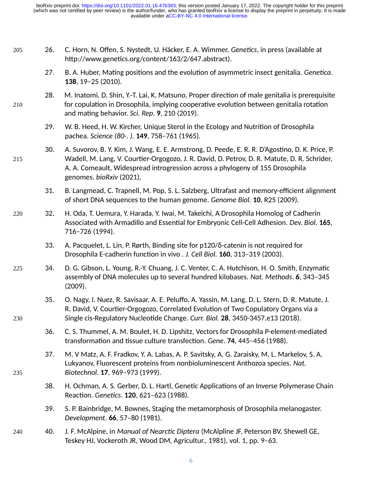26. C. Horn, N. Offen, S. Nystedt, U. Häcker, E. A. Wimmer, *Genetics*, in press (available at http://www.genetics.org/content/163/2/647.abstract).

205

210

215

230

235

- 27. B. A. Huber, Mating positions and the evolution of asymmetric insect genitalia. *Genetica*. **138**, 19–25 (2010).
- 28. M. Inatomi, D. Shin, Y.-T. Lai, K. Matsuno, Proper direction of male genitalia is prerequisite for copulation in Drosophila, implying cooperative evolution between genitalia rotation and mating behavior. *Sci. Rep.* **9**, 210 (2019).
	- 29. W. B. Heed, H. W. Kircher, Unique Sterol in the Ecology and Nutrition of Drosophila pachea. *Science (80-. ).* **149**, 758–761 (1965).
- 30. A. Suvorov, B. Y. Kim, J. Wang, E. E. Armstrong, D. Peede, E. R. R. D'Agostino, D. K. Price, P. Wadell, M. Lang, V. Courtier-Orgogozo, J. R. David, D. Petrov, D. R. Matute, D. R. Schrider, A. A. Comeault, Widespread introgression across a phylogeny of 155 Drosophila genomes. *bioRxiv* (2021),
	- 31. B. Langmead, C. Trapnell, M. Pop, S. L. Salzberg, Ultrafast and memory-efficient alignment of short DNA sequences to the human genome. *Genome Biol.* **10**, R25 (2009).
- 32. H. Oda, T. Uemura, Y. Harada, Y. Iwai, M. Takeichi, A Drosophila Homolog of Cadherin Associated with Armadillo and Essential for Embryonic Cell-Cell Adhesion. *Dev. Biol.* **165**, 716–726 (1994). 220
	- 33. A. Pacquelet, L. Lin, P. Rørth, Binding site for p120/δ-catenin is not required for Drosophila E-cadherin function in vivo . *J. Cell Biol.* **160**, 313–319 (2003).
- 34. D. G. Gibson, L. Young, R.-Y. Chuang, J. C. Venter, C. A. Hutchison, H. O. Smith, Enzymatic assembly of DNA molecules up to several hundred kilobases. *Nat. Methods*. **6**, 343–345 (2009). 225
	- 35. O. Nagy, I. Nuez, R. Savisaar, A. E. Peluffo, A. Yassin, M. Lang, D. L. Stern, D. R. Matute, J. R. David, V. Courtier-Orgogozo, Correlated Evolution of Two Copulatory Organs via a Single cis-Regulatory Nucleotide Change. *Curr. Biol.* **28**, 3450-3457.e13 (2018).
		- 36. C. S. Thummel, A. M. Boulet, H. D. Lipshitz, Vectors for Drosophila P-element-mediated transformation and tissue culture transfection. *Gene*. **74**, 445–456 (1988).
		- 37. M. V Matz, A. F. Fradkov, Y. A. Labas, A. P. Savitsky, A. G. Zaraisky, M. L. Markelov, S. A. Lukyanov, Fluorescent proteins from nonbioluminescent Anthozoa species. *Nat. Biotechnol.* **17**, 969–973 (1999).
		- 38. H. Ochman, A. S. Gerber, D. L. Hartl, Genetic Applications of an Inverse Polymerase Chain Reaction. *Genetics*. **120**, 621–623 (1988).
		- 39. S. P. Bainbridge, M. Bownes, Staging the metamorphosis of Drosophila melanogaster. *Development*. **66**, 57–80 (1981).
- 40. J. F. McAlpine, in *Manual of Nearctic Diptera* (McAlpline JF, Peterson BV, Shewell GE, Teskey HJ, Vockeroth JR, Wood DM, Agricultur., 1981), vol. 1, pp. 9–63. 240
	-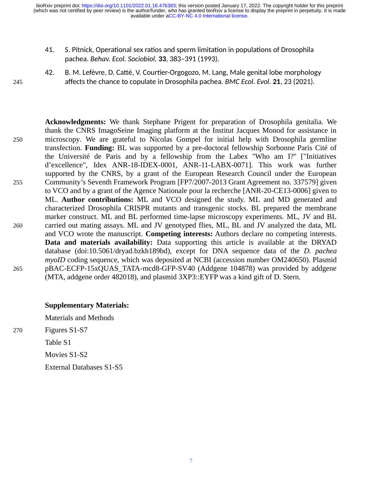available under [aCC-BY-NC 4.0 International license.](http://creativecommons.org/licenses/by-nc/4.0/) (which was not certified by peer review) is the author/funder, who has granted bioRxiv a license to display the preprint in perpetuity. It is made bioRxiv preprint doi: [https://doi.org/10.1101/2022.01.16.476383;](https://doi.org/10.1101/2022.01.16.476383) this version posted January 17, 2022. The copyright holder for this preprint

- 41. S. Pitnick, Operational sex ratios and sperm limitation in populations of Drosophila pachea. *Behav. Ecol. Sociobiol.* **33**, 383–391 (1993).
- 245

42. B. M. Lefèvre, D. Catté, V. Courtier-Orgogozo, M. Lang, Male genital lobe morphology affects the chance to copulate in Drosophila pachea. *BMC Ecol. Evol.* **21**, 23 (2021).

**Acknowledgments:** We thank Stephane Prigent for preparation of Drosophila genitalia. We thank the CNRS ImagoSeine Imaging platform at the Institut Jacques Monod for assistance in microscopy. We are grateful to Nicolas Gompel for initial help with Drosophila germline transfection. **Funding:** BL was supported by a pre-doctoral fellowship Sorbonne Paris Cité of the Université de Paris and by a fellowship from the Labex ''Who am I?'' ["Initiatives d'excellence", Idex ANR-18-IDEX-0001, ANR‐11‐LABX‐0071]. This work was further supported by the CNRS, by a grant of the European Research Council under the European Community's Seventh Framework Program [FP7/2007-2013 Grant Agreement no. 337579] given to VCO and by a grant of the Agence Nationale pour la recherche [ANR-20-CE13-0006] given to ML. **Author contributions:** ML and VCO designed the study. ML and MD generated and characterized Drosophila CRISPR mutants and transgenic stocks. BL prepared the membrane marker construct. ML and BL performed time-lapse microscopy experiments. ML, JV and BL carried out mating assays. ML and JV genotyped flies, ML, BL and JV analyzed the data, ML and VCO wrote the manuscript. **Competing interests:** Authors declare no competing interests. **Data and materials availability:** Data supporting this article is available at the DRYAD database (doi:10.5061/dryad.bzkh189bd), except for DNA sequence data of the *D. pachea myoID* coding sequence, which was deposited at NCBI (accession number OM240650). Plasmid pBAC-ECFP-15xQUAS\_TATA-mcd8-GFP-SV40 (Addgene 104878) was provided by addgene (MTA, addgene order 482018), and plasmid 3XP3::EYFP was a kind gift of D. Stern. 250 255 260

265

270

## **Supplementary Materials:**

Materials and Methods Figures S1-S7 Table S1 Movies S1-S2 External Databases S1-S5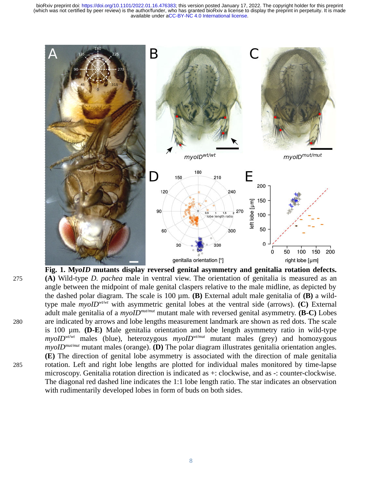available under [aCC-BY-NC 4.0 International license.](http://creativecommons.org/licenses/by-nc/4.0/) (which was not certified by peer review) is the author/funder, who has granted bioRxiv a license to display the preprint in perpetuity. It is made bioRxiv preprint doi: [https://doi.org/10.1101/2022.01.16.476383;](https://doi.org/10.1101/2022.01.16.476383) this version posted January 17, 2022. The copyright holder for this preprint



**Fig. 1. M***yoID* **mutants display reversed genital asymmetry and genitalia rotation defects. (A)** Wild-type *D. pachea* male in ventral view. The orientation of genitalia is measured as an angle between the midpoint of male genital claspers relative to the male midline, as depicted by the dashed polar diagram. The scale is 100 µm. **(B)** External adult male genitalia of **(B)** a wildtype male *myoIDwt/wt* with asymmetric genital lobes at the ventral side (arrows). **(C)** External adult male genitalia of a *myoIDmut/mut* mutant male with reversed genital asymmetry. **(B-C)** Lobes are indicated by arrows and lobe lengths measurement landmark are shown as red dots. The scale is 100 µm. **(D-E)** Male genitalia orientation and lobe length asymmetry ratio in wild-type  $myolD<sup>wt/wt</sup>$  males (blue), heterozygous  $myolD<sup>wt/mut</sup>$  mutant males (grey) and homozygous *myoIDmut/mut* mutant males (orange). **(D)** The polar diagram illustrates genitalia orientation angles. **(E)** The direction of genital lobe asymmetry is associated with the direction of male genitalia rotation. Left and right lobe lengths are plotted for individual males monitored by time-lapse microscopy. Genitalia rotation direction is indicated as +: clockwise, and as -: counter-clockwise. The diagonal red dashed line indicates the 1:1 lobe length ratio. The star indicates an observation with rudimentarily developed lobes in form of buds on both sides.

280